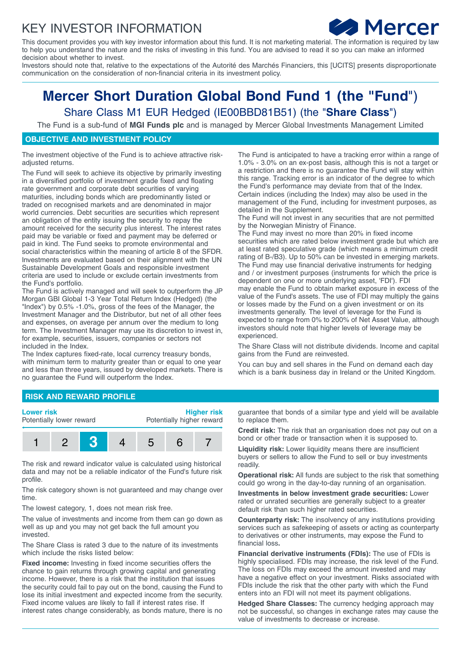# KEY INVESTOR INFORMATION



This document provides you with key investor information about this fund. It is not marketing material. The information is required by law to help you understand the nature and the risks of investing in this fund. You are advised to read it so you can make an informed decision about whether to invest.

Investors should note that, relative to the expectations of the Autorité des Marchés Financiers, this [UCITS] presents disproportionate communication on the consideration of non-financial criteria in its investment policy.

# **Mercer Short Duration Global Bond Fund 1 (the "Fund**") Share Class M1 EUR Hedged (IE00BBD81B51) (the "**Share Class**")

The Fund is a sub-fund of **MGI Funds plc** and is managed by Mercer Global Investments Management Limited

## **OBJECTIVE AND INVESTMENT POLICY**

The investment objective of the Fund is to achieve attractive riskadjusted returns.

The Fund will seek to achieve its objective by primarily investing in a diversified portfolio of investment grade fixed and floating rate government and corporate debt securities of varying maturities, including bonds which are predominantly listed or traded on recognised markets and are denominated in major world currencies. Debt securities are securities which represent an obligation of the entity issuing the security to repay the amount received for the security plus interest. The interest rates paid may be variable or fixed and payment may be deferred or paid in kind. The Fund seeks to promote environmental and social characteristics within the meaning of article 8 of the SFDR. Investments are evaluated based on their alignment with the UN Sustainable Development Goals and responsible investment criteria are used to include or exclude certain investments from the Fund's portfolio.

The Fund is actively managed and will seek to outperform the JP Morgan GBI Global 1-3 Year Total Return Index (Hedged) (the "Index") by 0.5% -1.0%, gross of the fees of the Manager, the Investment Manager and the Distributor, but net of all other fees and expenses, on average per annum over the medium to long term. The Investment Manager may use its discretion to invest in, for example, securities, issuers, companies or sectors not included in the Index.

The Index captures fixed-rate, local currency treasury bonds, with minimum term to maturity greater than or equal to one year and less than three years, issued by developed markets. There is no guarantee the Fund will outperform the Index.

The Fund is anticipated to have a tracking error within a range of 1.0% - 3.0% on an ex-post basis, although this is not a target or a restriction and there is no guarantee the Fund will stay within this range. Tracking error is an indicator of the degree to which the Fund's performance may deviate from that of the Index. Certain indices (including the Index) may also be used in the management of the Fund, including for investment purposes, as detailed in the Supplement.

The Fund will not invest in any securities that are not permitted by the Norwegian Ministry of Finance.

The Fund may invest no more than 20% in fixed income securities which are rated below investment grade but which are at least rated speculative grade (which means a minimum credit rating of B-/B3). Up to 50% can be invested in emerging markets. The Fund may use financial derivative instruments for hedging and / or investment purposes (instruments for which the price is dependent on one or more underlying asset, 'FDI'). FDI may enable the Fund to obtain market exposure in excess of the value of the Fund's assets. The use of FDI may multiply the gains or losses made by the Fund on a given investment or on its investments generally. The level of leverage for the Fund is expected to range from 0% to 200% of Net Asset Value, although investors should note that higher levels of leverage may be experienced.

The Share Class will not distribute dividends. Income and capital gains from the Fund are reinvested.

You can buy and sell shares in the Fund on demand each day which is a bank business day in Ireland or the United Kingdom.

#### **RISK AND REWARD PROFILE**



The risk and reward indicator value is calculated using historical data and may not be a reliable indicator of the Fund's future risk profile.

The risk category shown is not guaranteed and may change over time.

The lowest category, 1, does not mean risk free.

The value of investments and income from them can go down as well as up and you may not get back the full amount you invested.

The Share Class is rated 3 due to the nature of its investments which include the risks listed below:

**Fixed income:** Investing in fixed income securities offers the chance to gain returns through growing capital and generating income. However, there is a risk that the institution that issues the security could fail to pay out on the bond, causing the Fund to lose its initial investment and expected income from the security. Fixed income values are likely to fall if interest rates rise. If interest rates change considerably, as bonds mature, there is no

guarantee that bonds of a similar type and yield will be available to replace them.

**Credit risk:** The risk that an organisation does not pay out on a bond or other trade or transaction when it is supposed to.

**Liquidity risk:** Lower liquidity means there are insufficient buyers or sellers to allow the Fund to sell or buy investments readily.

**Operational risk:** All funds are subject to the risk that something could go wrong in the day-to-day running of an organisation.

**Investments in below investment grade securities:** Lower rated or unrated securities are generally subject to a greater default risk than such higher rated securities.

**Counterparty risk:** The insolvency of any institutions providing services such as safekeeping of assets or acting as counterparty to derivatives or other instruments, may expose the Fund to financial loss**.**

**Financial derivative instruments (FDIs):** The use of FDIs is highly specialised. FDIs may increase, the risk level of the Fund. The loss on FDIs may exceed the amount invested and may have a negative effect on your investment. Risks associated with FDIs include the risk that the other party with which the Fund enters into an FDI will not meet its payment obligations.

**Hedged Share Classes:** The currency hedging approach may not be successful, so changes in exchange rates may cause the value of investments to decrease or increase.